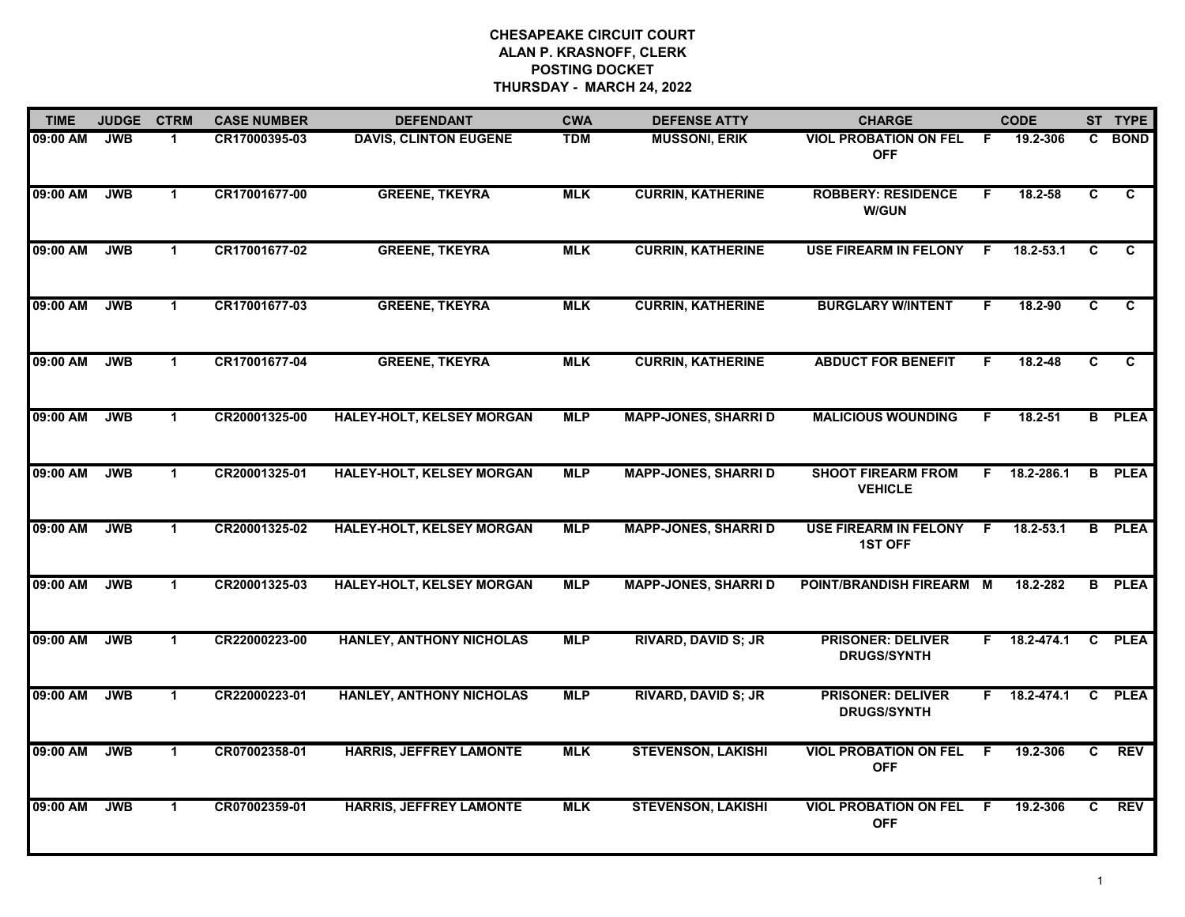| <b>TIME</b> | <b>JUDGE</b> | <b>CTRM</b>  | <b>CASE NUMBER</b> | <b>DEFENDANT</b>                 | <b>CWA</b> | <b>DEFENSE ATTY</b>         | <b>CHARGE</b>                                  |     | <b>CODE</b>    |    | ST TYPE        |
|-------------|--------------|--------------|--------------------|----------------------------------|------------|-----------------------------|------------------------------------------------|-----|----------------|----|----------------|
| 09:00 AM    | <b>JWB</b>   | -1           | CR17000395-03      | <b>DAVIS, CLINTON EUGENE</b>     | <b>TDM</b> | <b>MUSSONI, ERIK</b>        | <b>VIOL PROBATION ON FEL</b><br><b>OFF</b>     | - F | 19.2-306       | C. | <b>BOND</b>    |
| 09:00 AM    | <b>JWB</b>   | $\mathbf 1$  | CR17001677-00      | <b>GREENE, TKEYRA</b>            | <b>MLK</b> | <b>CURRIN, KATHERINE</b>    | <b>ROBBERY: RESIDENCE</b><br><b>W/GUN</b>      | F.  | 18.2-58        | C  | C              |
| 09:00 AM    | <b>JWB</b>   | $\mathbf 1$  | CR17001677-02      | <b>GREENE, TKEYRA</b>            | <b>MLK</b> | <b>CURRIN, KATHERINE</b>    | <b>USE FIREARM IN FELONY</b>                   | -F  | $18.2 - 53.1$  | C  | $\mathbf{C}$   |
| 09:00 AM    | <b>JWB</b>   | 1            | CR17001677-03      | <b>GREENE, TKEYRA</b>            | <b>MLK</b> | <b>CURRIN, KATHERINE</b>    | <b>BURGLARY W/INTENT</b>                       | F.  | 18.2-90        | C  | C.             |
| 09:00 AM    | <b>JWB</b>   | $\mathbf{1}$ | CR17001677-04      | <b>GREENE, TKEYRA</b>            | <b>MLK</b> | <b>CURRIN, KATHERINE</b>    | <b>ABDUCT FOR BENEFIT</b>                      | F.  | 18.2-48        | C. | $\overline{c}$ |
| 09:00 AM    | <b>JWB</b>   | $\mathbf 1$  | CR20001325-00      | <b>HALEY-HOLT, KELSEY MORGAN</b> | <b>MLP</b> | <b>MAPP-JONES, SHARRI D</b> | <b>MALICIOUS WOUNDING</b>                      | F.  | $18.2 - 51$    | B  | <b>PLEA</b>    |
| 09:00 AM    | <b>JWB</b>   | $\mathbf{1}$ | CR20001325-01      | <b>HALEY-HOLT, KELSEY MORGAN</b> | <b>MLP</b> | <b>MAPP-JONES, SHARRI D</b> | <b>SHOOT FIREARM FROM</b><br><b>VEHICLE</b>    |     | F 18.2-286.1   | B  | <b>PLEA</b>    |
| 09:00 AM    | <b>JWB</b>   | $\mathbf{1}$ | CR20001325-02      | <b>HALEY-HOLT, KELSEY MORGAN</b> | <b>MLP</b> | <b>MAPP-JONES, SHARRID</b>  | <b>USE FIREARM IN FELONY</b><br><b>1ST OFF</b> | F.  | $18.2 - 53.1$  |    | <b>B</b> PLEA  |
| 09:00 AM    | <b>JWB</b>   | $\mathbf{1}$ | CR20001325-03      | <b>HALEY-HOLT, KELSEY MORGAN</b> | <b>MLP</b> | <b>MAPP-JONES, SHARRI D</b> | POINT/BRANDISH FIREARM M                       |     | 18.2-282       |    | <b>B</b> PLEA  |
| 09:00 AM    | <b>JWB</b>   | $\mathbf 1$  | CR22000223-00      | <b>HANLEY, ANTHONY NICHOLAS</b>  | <b>MLP</b> | <b>RIVARD, DAVID S; JR</b>  | <b>PRISONER: DELIVER</b><br><b>DRUGS/SYNTH</b> | F.  | $18.2 - 474.1$ | C  | <b>PLEA</b>    |
| 09:00 AM    | <b>JWB</b>   | $\mathbf 1$  | CR22000223-01      | <b>HANLEY, ANTHONY NICHOLAS</b>  | <b>MLP</b> | <b>RIVARD, DAVID S; JR</b>  | <b>PRISONER: DELIVER</b><br><b>DRUGS/SYNTH</b> | F.  | 18.2-474.1     | C  | <b>PLEA</b>    |
| 09:00 AM    | <b>JWB</b>   | $\mathbf{1}$ | CR07002358-01      | <b>HARRIS, JEFFREY LAMONTE</b>   | <b>MLK</b> | <b>STEVENSON, LAKISHI</b>   | <b>VIOL PROBATION ON FEL</b><br><b>OFF</b>     | F   | 19.2-306       | C. | <b>REV</b>     |
| 09:00 AM    | <b>JWB</b>   | $\mathbf 1$  | CR07002359-01      | HARRIS, JEFFREY LAMONTE          | <b>MLK</b> | <b>STEVENSON, LAKISHI</b>   | <b>VIOL PROBATION ON FEL</b><br><b>OFF</b>     | F   | 19.2-306       | C. | <b>REV</b>     |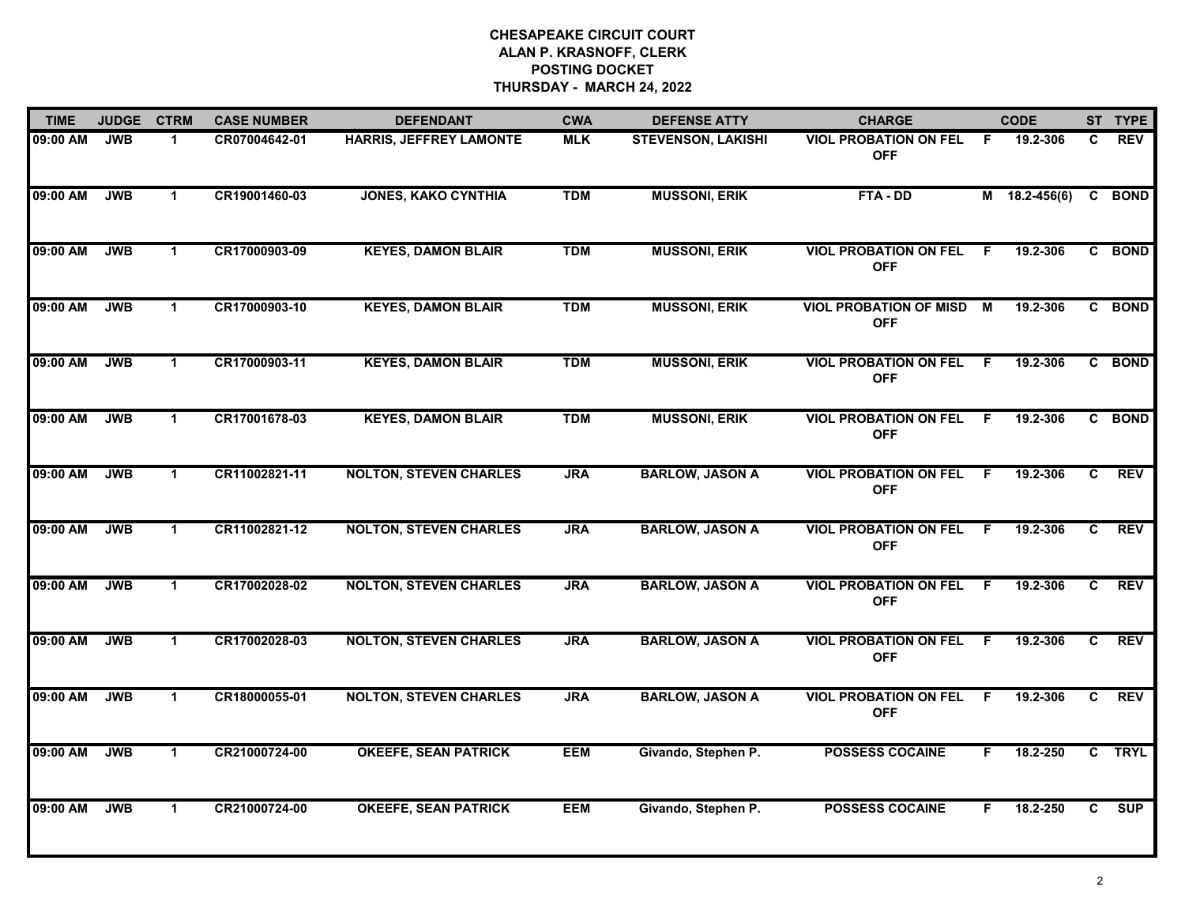| <b>TIME</b> | <b>JUDGE</b> | <b>CTRM</b>          | <b>CASE NUMBER</b> | <b>DEFENDANT</b>               | <b>CWA</b> | <b>DEFENSE ATTY</b>       | <b>CHARGE</b>                                 |    | <b>CODE</b>   |    | ST TYPE     |
|-------------|--------------|----------------------|--------------------|--------------------------------|------------|---------------------------|-----------------------------------------------|----|---------------|----|-------------|
| 09:00 AM    | <b>JWB</b>   | 1                    | CR07004642-01      | <b>HARRIS, JEFFREY LAMONTE</b> | <b>MLK</b> | <b>STEVENSON, LAKISHI</b> | <b>VIOL PROBATION ON FEL</b><br><b>OFF</b>    | F. | 19.2-306      | C. | <b>REV</b>  |
| 09:00 AM    | <b>JWB</b>   | $\mathbf 1$          | CR19001460-03      | <b>JONES, KAKO CYNTHIA</b>     | <b>TDM</b> | <b>MUSSONI, ERIK</b>      | FTA-DD                                        |    | M 18.2-456(6) |    | C BOND      |
| 09:00 AM    | <b>JWB</b>   | $\mathbf 1$          | CR17000903-09      | <b>KEYES, DAMON BLAIR</b>      | <b>TDM</b> | <b>MUSSONI, ERIK</b>      | <b>VIOL PROBATION ON FEL</b><br><b>OFF</b>    | F  | 19.2-306      |    | C BOND      |
| 09:00 AM    | <b>JWB</b>   | $\mathbf 1$          | CR17000903-10      | <b>KEYES, DAMON BLAIR</b>      | <b>TDM</b> | <b>MUSSONI, ERIK</b>      | <b>VIOL PROBATION OF MISD M</b><br><b>OFF</b> |    | 19.2-306      |    | C BOND      |
| 09:00 AM    | <b>JWB</b>   | $\mathbf{1}$         | CR17000903-11      | <b>KEYES, DAMON BLAIR</b>      | <b>TDM</b> | <b>MUSSONI, ERIK</b>      | <b>VIOL PROBATION ON FEL</b><br><b>OFF</b>    | -F | 19.2-306      | C. | <b>BOND</b> |
| 09:00 AM    | <b>JWB</b>   | $\mathbf{1}$         | CR17001678-03      | <b>KEYES, DAMON BLAIR</b>      | <b>TDM</b> | <b>MUSSONI, ERIK</b>      | <b>VIOL PROBATION ON FEL</b><br><b>OFF</b>    | -F | 19.2-306      |    | C BOND      |
| 09:00 AM    | <b>JWB</b>   | $\mathbf 1$          | CR11002821-11      | <b>NOLTON, STEVEN CHARLES</b>  | <b>JRA</b> | <b>BARLOW, JASON A</b>    | <b>VIOL PROBATION ON FEL</b><br><b>OFF</b>    | -F | 19.2-306      | C. | <b>REV</b>  |
| 09:00 AM    | <b>JWB</b>   | $\mathbf{1}$         | CR11002821-12      | <b>NOLTON, STEVEN CHARLES</b>  | <b>JRA</b> | <b>BARLOW, JASON A</b>    | <b>VIOL PROBATION ON FEL</b><br><b>OFF</b>    | F  | 19.2-306      | C  | <b>REV</b>  |
| 09:00 AM    | <b>JWB</b>   | $\mathbf 1$          | CR17002028-02      | <b>NOLTON, STEVEN CHARLES</b>  | <b>JRA</b> | <b>BARLOW, JASON A</b>    | <b>VIOL PROBATION ON FEL</b><br><b>OFF</b>    | F. | 19.2-306      | C. | <b>REV</b>  |
| 09:00 AM    | <b>JWB</b>   | $\blacktriangleleft$ | CR17002028-03      | <b>NOLTON, STEVEN CHARLES</b>  | <b>JRA</b> | <b>BARLOW, JASON A</b>    | <b>VIOL PROBATION ON FEL</b><br><b>OFF</b>    | -F | 19.2-306      | C  | <b>REV</b>  |
| 09:00 AM    | <b>JWB</b>   | $\mathbf 1$          | CR18000055-01      | <b>NOLTON, STEVEN CHARLES</b>  | <b>JRA</b> | <b>BARLOW, JASON A</b>    | <b>VIOL PROBATION ON FEL</b><br><b>OFF</b>    | -F | 19.2-306      | C  | <b>REV</b>  |
| 09:00 AM    | <b>JWB</b>   | $\mathbf{1}$         | CR21000724-00      | <b>OKEEFE, SEAN PATRICK</b>    | <b>EEM</b> | Givando, Stephen P.       | <b>POSSESS COCAINE</b>                        | F. | 18.2-250      |    | C TRYL      |
| 09:00 AM    | <b>JWB</b>   | $\mathbf{1}$         | CR21000724-00      | <b>OKEEFE, SEAN PATRICK</b>    | <b>EEM</b> | Givando, Stephen P.       | <b>POSSESS COCAINE</b>                        | F. | 18.2-250      | C. | SUP         |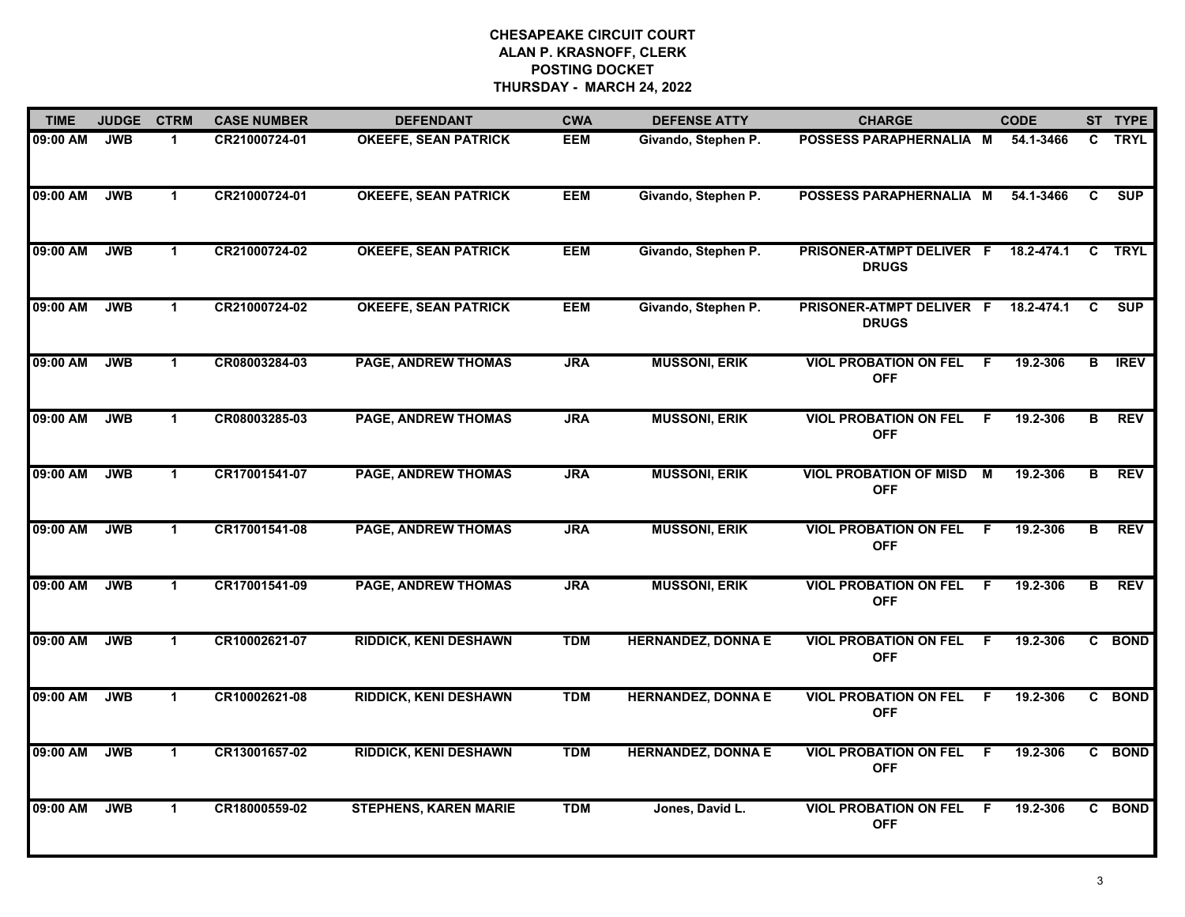| <b>TIME</b> | <b>JUDGE</b> | <b>CTRM</b>          | <b>CASE NUMBER</b> | <b>DEFENDANT</b>             | <b>CWA</b> | <b>DEFENSE ATTY</b>       | <b>CHARGE</b>                               | <b>CODE</b>                |    | ST TYPE     |
|-------------|--------------|----------------------|--------------------|------------------------------|------------|---------------------------|---------------------------------------------|----------------------------|----|-------------|
| 09:00 AM    | <b>JWB</b>   | $\blacktriangleleft$ | CR21000724-01      | <b>OKEEFE, SEAN PATRICK</b>  | <b>EEM</b> | Givando, Stephen P.       | POSSESS PARAPHERNALIA M                     | 54.1-3466                  | C. | <b>TRYL</b> |
| 09:00 AM    | <b>JWB</b>   | $\mathbf 1$          | CR21000724-01      | <b>OKEEFE, SEAN PATRICK</b>  | <b>EEM</b> | Givando, Stephen P.       | POSSESS PARAPHERNALIA M                     | 54.1-3466                  | C. | <b>SUP</b>  |
| 09:00 AM    | <b>JWB</b>   | $\mathbf{1}$         | CR21000724-02      | <b>OKEEFE, SEAN PATRICK</b>  | <b>EEM</b> | Givando, Stephen P.       | PRISONER-ATMPT DELIVER F<br><b>DRUGS</b>    | 18.2-474.1                 | C  | <b>TRYL</b> |
| 09:00 AM    | <b>JWB</b>   | $\mathbf 1$          | CR21000724-02      | <b>OKEEFE, SEAN PATRICK</b>  | <b>EEM</b> | Givando, Stephen P.       | PRISONER-ATMPT DELIVER F<br><b>DRUGS</b>    | 18.2-474.1                 | C  | <b>SUP</b>  |
| 09:00 AM    | <b>JWB</b>   | $\mathbf 1$          | CR08003284-03      | <b>PAGE, ANDREW THOMAS</b>   | <b>JRA</b> | <b>MUSSONI, ERIK</b>      | <b>VIOL PROBATION ON FEL</b><br><b>OFF</b>  | 19.2-306<br>-F             | В  | <b>IREV</b> |
| 09:00 AM    | <b>JWB</b>   | $\mathbf 1$          | CR08003285-03      | <b>PAGE, ANDREW THOMAS</b>   | <b>JRA</b> | <b>MUSSONI, ERIK</b>      | <b>VIOL PROBATION ON FEL</b><br><b>OFF</b>  | 19.2-306<br>-F             | В  | <b>REV</b>  |
| 09:00 AM    | <b>JWB</b>   | $\mathbf 1$          | CR17001541-07      | <b>PAGE, ANDREW THOMAS</b>   | <b>JRA</b> | <b>MUSSONI, ERIK</b>      | <b>VIOL PROBATION OF MISD</b><br><b>OFF</b> | $\overline{M}$<br>19.2-306 | В  | <b>REV</b>  |
| 09:00 AM    | <b>JWB</b>   | $\mathbf{1}$         | CR17001541-08      | <b>PAGE, ANDREW THOMAS</b>   | <b>JRA</b> | <b>MUSSONI, ERIK</b>      | <b>VIOL PROBATION ON FEL</b><br><b>OFF</b>  | 19.2-306<br>-F             | В  | <b>REV</b>  |
| 09:00 AM    | <b>JWB</b>   | $\mathbf 1$          | CR17001541-09      | <b>PAGE, ANDREW THOMAS</b>   | <b>JRA</b> | <b>MUSSONI, ERIK</b>      | <b>VIOL PROBATION ON FEL</b><br><b>OFF</b>  | 19.2-306<br>-F             | В  | <b>REV</b>  |
| 09:00 AM    | <b>JWB</b>   | $\mathbf 1$          | CR10002621-07      | <b>RIDDICK, KENI DESHAWN</b> | <b>TDM</b> | <b>HERNANDEZ, DONNA E</b> | <b>VIOL PROBATION ON FEL</b><br><b>OFF</b>  | 19.2-306<br>F.             |    | C BOND      |
| 09:00 AM    | <b>JWB</b>   | $\mathbf{1}$         | CR10002621-08      | <b>RIDDICK, KENI DESHAWN</b> | <b>TDM</b> | <b>HERNANDEZ, DONNA E</b> | <b>VIOL PROBATION ON FEL</b><br><b>OFF</b>  | 19.2-306<br>- F            |    | C BOND      |
| 09:00 AM    | <b>JWB</b>   | $\mathbf 1$          | CR13001657-02      | <b>RIDDICK, KENI DESHAWN</b> | <b>TDM</b> | <b>HERNANDEZ, DONNA E</b> | <b>VIOL PROBATION ON FEL</b><br><b>OFF</b>  | $\overline{F}$<br>19.2-306 |    | C BOND      |
| 09:00 AM    | <b>JWB</b>   | $\mathbf{1}$         | CR18000559-02      | <b>STEPHENS, KAREN MARIE</b> | <b>TDM</b> | Jones, David L.           | <b>VIOL PROBATION ON FEL</b><br><b>OFF</b>  | 19.2-306<br>F.             |    | C BOND      |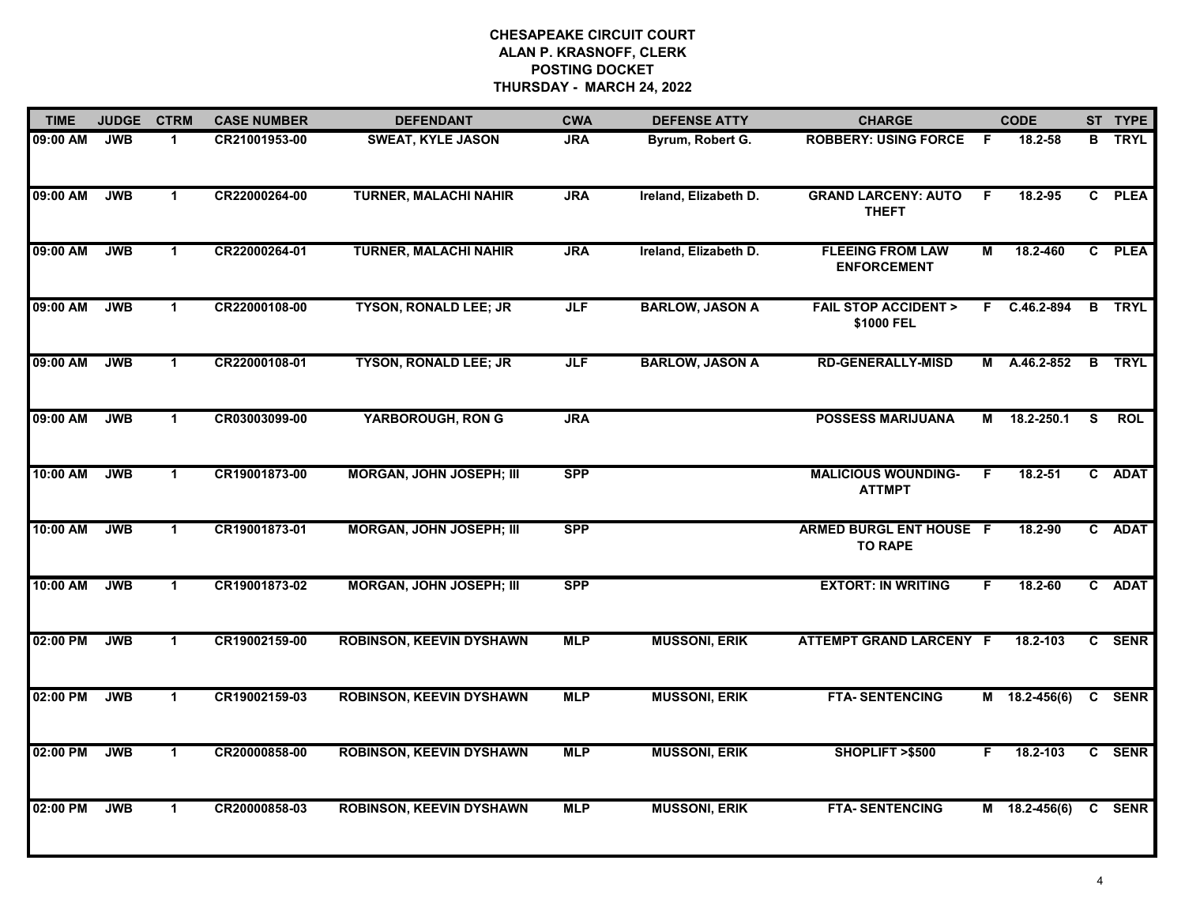| <b>TIME</b> | <b>JUDGE</b> | <b>CTRM</b>  | <b>CASE NUMBER</b> | <b>DEFENDANT</b>                | <b>CWA</b> | <b>DEFENSE ATTY</b>    | <b>CHARGE</b>                                    |    | <b>CODE</b>     |              | ST TYPE       |
|-------------|--------------|--------------|--------------------|---------------------------------|------------|------------------------|--------------------------------------------------|----|-----------------|--------------|---------------|
| 09:00 AM    | <b>JWB</b>   | $\mathbf 1$  | CR21001953-00      | <b>SWEAT, KYLE JASON</b>        | <b>JRA</b> | Byrum, Robert G.       | <b>ROBBERY: USING FORCE</b>                      | -F | 18.2-58         | B.           | <b>TRYL</b>   |
| 09:00 AM    | <b>JWB</b>   | $\mathbf 1$  | CR22000264-00      | <b>TURNER, MALACHI NAHIR</b>    | <b>JRA</b> | Ireland, Elizabeth D.  | <b>GRAND LARCENY: AUTO</b><br><b>THEFT</b>       | -F | 18.2-95         |              | C PLEA        |
| 09:00 AM    | <b>JWB</b>   | $\mathbf{1}$ | CR22000264-01      | <b>TURNER, MALACHI NAHIR</b>    | <b>JRA</b> | Ireland, Elizabeth D.  | <b>FLEEING FROM LAW</b><br><b>ENFORCEMENT</b>    | М  | 18.2-460        |              | C PLEA        |
| 09:00 AM    | <b>JWB</b>   | $\mathbf 1$  | CR22000108-00      | <b>TYSON, RONALD LEE; JR</b>    | <b>JLF</b> | <b>BARLOW, JASON A</b> | <b>FAIL STOP ACCIDENT &gt;</b><br>\$1000 FEL     |    | F C.46.2-894    | $\mathbf{B}$ | <b>TRYL</b>   |
| 09:00 AM    | <b>JWB</b>   | $\mathbf 1$  | CR22000108-01      | <b>TYSON, RONALD LEE; JR</b>    | <b>JLF</b> | <b>BARLOW, JASON A</b> | <b>RD-GENERALLY-MISD</b>                         | M  | A.46.2-852      |              | <b>B</b> TRYL |
| 09:00 AM    | <b>JWB</b>   | $\mathbf{1}$ | CR03003099-00      | <b>YARBOROUGH, RON G</b>        | <b>JRA</b> |                        | <b>POSSESS MARIJUANA</b>                         | M  | 18.2-250.1      | <b>S</b>     | <b>ROL</b>    |
| 10:00 AM    | <b>JWB</b>   | $\mathbf{1}$ | CR19001873-00      | <b>MORGAN, JOHN JOSEPH; III</b> | <b>SPP</b> |                        | <b>MALICIOUS WOUNDING-</b><br><b>ATTMPT</b>      | F  | $18.2 - 51$     |              | C ADAT        |
| 10:00 AM    | <b>JWB</b>   | $\mathbf{1}$ | CR19001873-01      | <b>MORGAN, JOHN JOSEPH; III</b> | <b>SPP</b> |                        | <b>ARMED BURGL ENT HOUSE F</b><br><b>TO RAPE</b> |    | 18.2-90         |              | C ADAT        |
| 10:00 AM    | <b>JWB</b>   | $\mathbf{1}$ | CR19001873-02      | <b>MORGAN, JOHN JOSEPH; III</b> | <b>SPP</b> |                        | <b>EXTORT: IN WRITING</b>                        | F. | $18.2 - 60$     |              | C ADAT        |
| 02:00 PM    | <b>JWB</b>   | $\mathbf{1}$ | CR19002159-00      | <b>ROBINSON, KEEVIN DYSHAWN</b> | <b>MLP</b> | <b>MUSSONI, ERIK</b>   | <b>ATTEMPT GRAND LARCENY F</b>                   |    | 18.2-103        |              | C SENR        |
| 02:00 PM    | <b>JWB</b>   | $\mathbf{1}$ | CR19002159-03      | <b>ROBINSON, KEEVIN DYSHAWN</b> | <b>MLP</b> | <b>MUSSONI, ERIK</b>   | <b>FTA-SENTENCING</b>                            |    | $M$ 18.2-456(6) |              | C SENR        |
| 02:00 PM    | <b>JWB</b>   | $\mathbf{1}$ | CR20000858-00      | <b>ROBINSON, KEEVIN DYSHAWN</b> | <b>MLP</b> | <b>MUSSONI, ERIK</b>   | SHOPLIFT >\$500                                  | F. | 18.2-103        |              | C SENR        |
| 02:00 PM    | <b>JWB</b>   | $\mathbf{1}$ | CR20000858-03      | <b>ROBINSON, KEEVIN DYSHAWN</b> | <b>MLP</b> | <b>MUSSONI, ERIK</b>   | <b>FTA-SENTENCING</b>                            |    | $M$ 18.2-456(6) |              | C SENR        |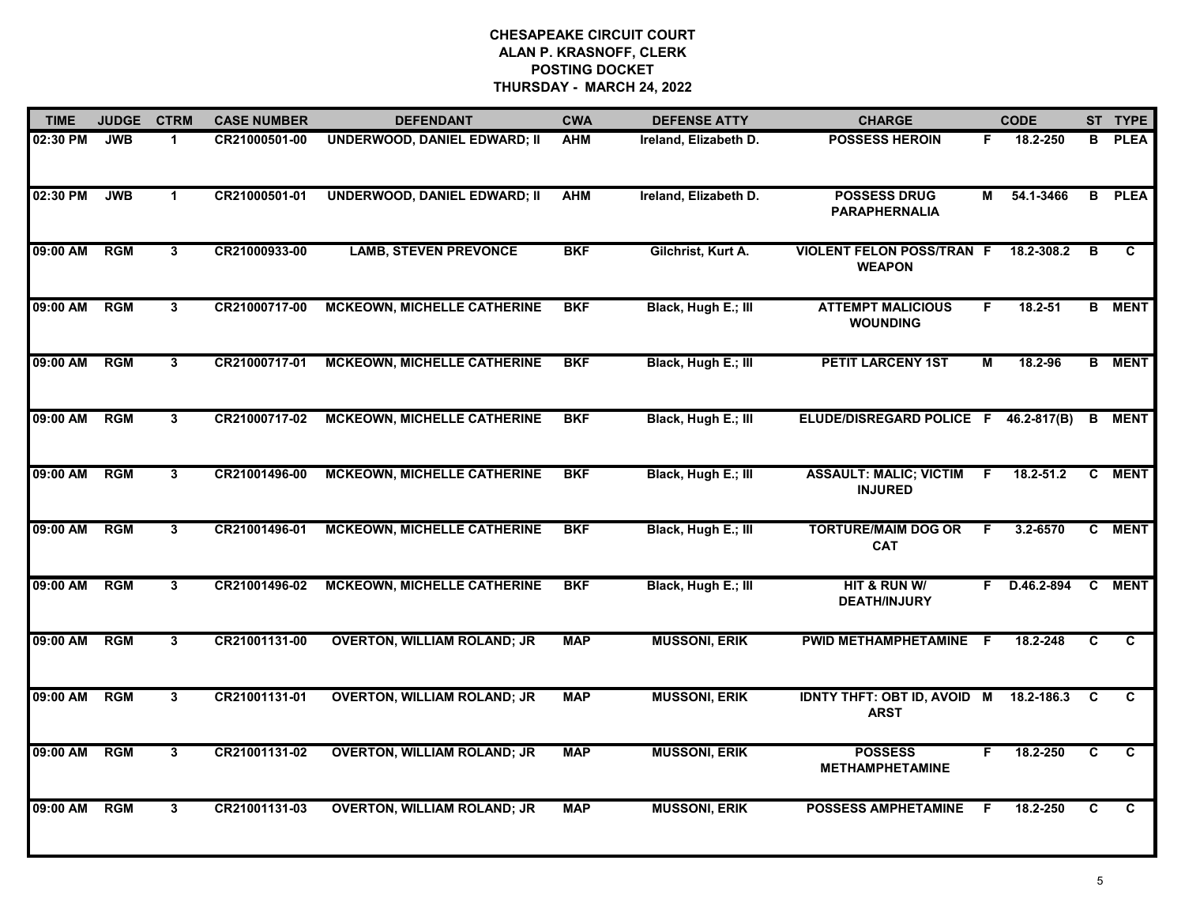| <b>TIME</b> | <b>JUDGE</b> | <b>CTRM</b>    | <b>CASE NUMBER</b> | <b>DEFENDANT</b>                    | <b>CWA</b> | <b>DEFENSE ATTY</b>   | <b>CHARGE</b>                                     |    | <b>CODE</b>     |                | ST TYPE       |
|-------------|--------------|----------------|--------------------|-------------------------------------|------------|-----------------------|---------------------------------------------------|----|-----------------|----------------|---------------|
| 02:30 PM    | <b>JWB</b>   | 1              | CR21000501-00      | <b>UNDERWOOD, DANIEL EDWARD; II</b> | <b>AHM</b> | Ireland, Elizabeth D. | <b>POSSESS HEROIN</b>                             | F. | 18.2-250        | в              | <b>PLEA</b>   |
| 02:30 PM    | <b>JWB</b>   | $\mathbf 1$    | CR21000501-01      | <b>UNDERWOOD, DANIEL EDWARD; II</b> | <b>AHM</b> | Ireland, Elizabeth D. | <b>POSSESS DRUG</b><br><b>PARAPHERNALIA</b>       | М  | 54.1-3466       | B              | <b>PLEA</b>   |
| 09:00 AM    | <b>RGM</b>   | 3              | CR21000933-00      | <b>LAMB, STEVEN PREVONCE</b>        | <b>BKF</b> | Gilchrist, Kurt A.    | <b>VIOLENT FELON POSS/TRAN F</b><br><b>WEAPON</b> |    | 18.2-308.2      | B              | C             |
| 09:00 AM    | <b>RGM</b>   | 3              | CR21000717-00      | <b>MCKEOWN, MICHELLE CATHERINE</b>  | <b>BKF</b> | Black, Hugh E.; III   | <b>ATTEMPT MALICIOUS</b><br><b>WOUNDING</b>       | F. | $18.2 - 51$     |                | <b>B</b> MENT |
| 09:00 AM    | RGM          | 3              | CR21000717-01      | <b>MCKEOWN, MICHELLE CATHERINE</b>  | <b>BKF</b> | Black, Hugh E.; III   | <b>PETIT LARCENY 1ST</b>                          | M  | 18.2-96         | B              | <b>MENT</b>   |
| 09:00 AM    | <b>RGM</b>   | $\mathbf{3}$   | CR21000717-02      | <b>MCKEOWN, MICHELLE CATHERINE</b>  | <b>BKF</b> | Black, Hugh E.; III   | ELUDE/DISREGARD POLICE F                          |    | $46.2 - 817(B)$ | B              | <b>MENT</b>   |
| 09:00 AM    | RGM          | $\overline{3}$ | CR21001496-00      | <b>MCKEOWN, MICHELLE CATHERINE</b>  | <b>BKF</b> | Black, Hugh E.; III   | <b>ASSAULT: MALIC; VICTIM</b><br><b>INJURED</b>   | -F | $18.2 - 51.2$   | C              | <b>MENT</b>   |
| 09:00 AM    | <b>RGM</b>   | $\mathbf{3}$   | CR21001496-01      | <b>MCKEOWN, MICHELLE CATHERINE</b>  | <b>BKF</b> | Black, Hugh E.; III   | <b>TORTURE/MAIM DOG OR</b><br><b>CAT</b>          | F  | 3.2-6570        |                | C MENT        |
| 09:00 AM    | <b>RGM</b>   | 3              | CR21001496-02      | <b>MCKEOWN, MICHELLE CATHERINE</b>  | <b>BKF</b> | Black, Hugh E.; III   | HIT & RUN W/<br><b>DEATH/INJURY</b>               |    | F D.46.2-894    |                | C MENT        |
| 09:00 AM    | RGM          | 3              | CR21001131-00      | <b>OVERTON, WILLIAM ROLAND; JR</b>  | <b>MAP</b> | <b>MUSSONI, ERIK</b>  | PWID METHAMPHETAMINE                              | -F | 18.2-248        | C              | C             |
| 09:00 AM    | <b>RGM</b>   | 3              | CR21001131-01      | <b>OVERTON, WILLIAM ROLAND; JR</b>  | <b>MAP</b> | <b>MUSSONI, ERIK</b>  | <b>IDNTY THFT: OBT ID, AVOID M</b><br><b>ARST</b> |    | 18.2-186.3      | C              | C             |
| 09:00 AM    | RGM          | 3              | CR21001131-02      | <b>OVERTON, WILLIAM ROLAND; JR</b>  | <b>MAP</b> | <b>MUSSONI, ERIK</b>  | <b>POSSESS</b><br><b>METHAMPHETAMINE</b>          | F. | 18.2-250        | $\overline{c}$ | C             |
| 09:00 AM    | <b>RGM</b>   | $\mathbf{3}$   | CR21001131-03      | <b>OVERTON, WILLIAM ROLAND; JR</b>  | <b>MAP</b> | <b>MUSSONI, ERIK</b>  | <b>POSSESS AMPHETAMINE</b>                        | F  | 18.2-250        | $\mathbf{C}$   | $\mathbf{C}$  |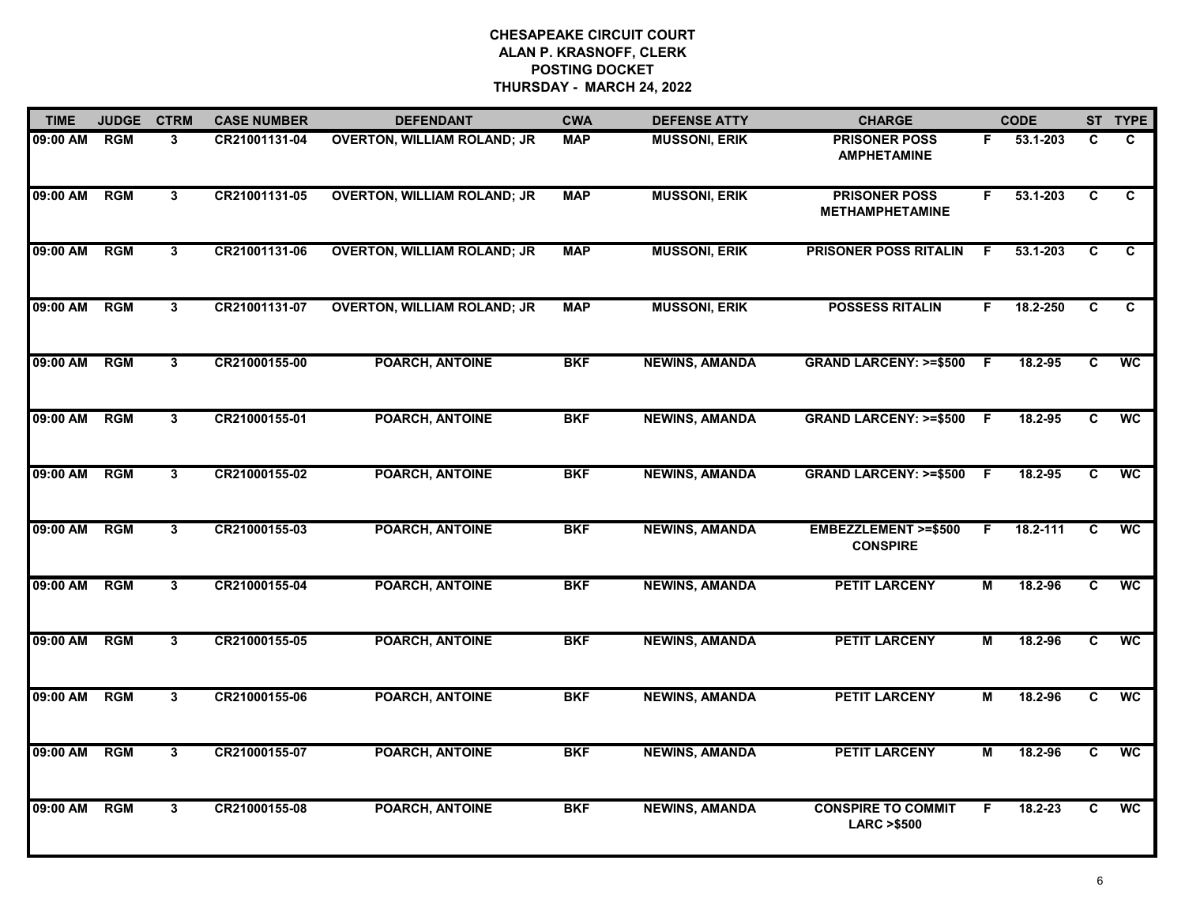| <b>TIME</b> | <b>JUDGE</b> | <b>CTRM</b>    | <b>CASE NUMBER</b> | <b>DEFENDANT</b>                   | <b>CWA</b> | <b>DEFENSE ATTY</b>   | <b>CHARGE</b>                                      |     | <b>CODE</b> |                | ST TYPE                  |
|-------------|--------------|----------------|--------------------|------------------------------------|------------|-----------------------|----------------------------------------------------|-----|-------------|----------------|--------------------------|
| 09:00 AM    | <b>RGM</b>   | 3              | CR21001131-04      | <b>OVERTON, WILLIAM ROLAND; JR</b> | <b>MAP</b> | <b>MUSSONI, ERIK</b>  | <b>PRISONER POSS</b><br><b>AMPHETAMINE</b>         | F.  | 53.1-203    | C              | C                        |
| 09:00 AM    | <b>RGM</b>   | 3              | CR21001131-05      | <b>OVERTON, WILLIAM ROLAND; JR</b> | <b>MAP</b> | <b>MUSSONI, ERIK</b>  | <b>PRISONER POSS</b><br><b>METHAMPHETAMINE</b>     | F.  | 53.1-203    | C              | C                        |
| 09:00 AM    | <b>RGM</b>   | $3^{\circ}$    | CR21001131-06      | <b>OVERTON, WILLIAM ROLAND; JR</b> | <b>MAP</b> | <b>MUSSONI, ERIK</b>  | <b>PRISONER POSS RITALIN</b>                       | F   | 53.1-203    | C              | $\overline{c}$           |
| 09:00 AM    | <b>RGM</b>   | 3              | CR21001131-07      | <b>OVERTON, WILLIAM ROLAND; JR</b> | <b>MAP</b> | <b>MUSSONI, ERIK</b>  | <b>POSSESS RITALIN</b>                             | F.  | 18.2-250    | C.             | $\mathbf{C}$             |
| 09:00 AM    | <b>RGM</b>   | $\mathbf{3}$   | CR21000155-00      | <b>POARCH, ANTOINE</b>             | <b>BKF</b> | <b>NEWINS, AMANDA</b> | <b>GRAND LARCENY: &gt;=\$500</b>                   | F.  | 18.2-95     | $\overline{c}$ | <b>WC</b>                |
| 09:00 AM    | RGM          | 3              | CR21000155-01      | <b>POARCH, ANTOINE</b>             | <b>BKF</b> | <b>NEWINS, AMANDA</b> | GRAND LARCENY: >=\$500 F                           |     | 18.2-95     | C              | $\overline{\mathsf{wc}}$ |
| 09:00 AM    | RGM          | $\mathbf{3}$   | CR21000155-02      | <b>POARCH, ANTOINE</b>             | <b>BKF</b> | <b>NEWINS, AMANDA</b> | <b>GRAND LARCENY: &gt;=\$500</b>                   | - F | 18.2-95     | C              | <b>WC</b>                |
| 09:00 AM    | <b>RGM</b>   | 3 <sup>1</sup> | CR21000155-03      | <b>POARCH, ANTOINE</b>             | <b>BKF</b> | <b>NEWINS, AMANDA</b> | <b>EMBEZZLEMENT &gt;=\$500</b><br><b>CONSPIRE</b>  | F.  | 18.2-111    | C              | <b>WC</b>                |
| 09:00 AM    | <b>RGM</b>   | 3              | CR21000155-04      | <b>POARCH, ANTOINE</b>             | <b>BKF</b> | <b>NEWINS, AMANDA</b> | <b>PETIT LARCENY</b>                               | М   | 18.2-96     | C              | <b>WC</b>                |
| 09:00 AM    | RGM          | 3              | CR21000155-05      | <b>POARCH, ANTOINE</b>             | <b>BKF</b> | <b>NEWINS, AMANDA</b> | <b>PETIT LARCENY</b>                               | М   | 18.2-96     | C              | <b>WC</b>                |
| 09:00 AM    | <b>RGM</b>   | 3              | CR21000155-06      | <b>POARCH, ANTOINE</b>             | <b>BKF</b> | <b>NEWINS, AMANDA</b> | <b>PETIT LARCENY</b>                               | М   | 18.2-96     | C.             | <b>WC</b>                |
| 09:00 AM    | <b>RGM</b>   | 3              | CR21000155-07      | <b>POARCH, ANTOINE</b>             | <b>BKF</b> | <b>NEWINS, AMANDA</b> | <b>PETIT LARCENY</b>                               | М   | 18.2-96     | C              | <b>WC</b>                |
| 09:00 AM    | <b>RGM</b>   | $3^{\circ}$    | CR21000155-08      | <b>POARCH, ANTOINE</b>             | <b>BKF</b> | <b>NEWINS, AMANDA</b> | <b>CONSPIRE TO COMMIT</b><br><b>LARC &gt;\$500</b> | F   | 18.2-23     | C.             | <b>WC</b>                |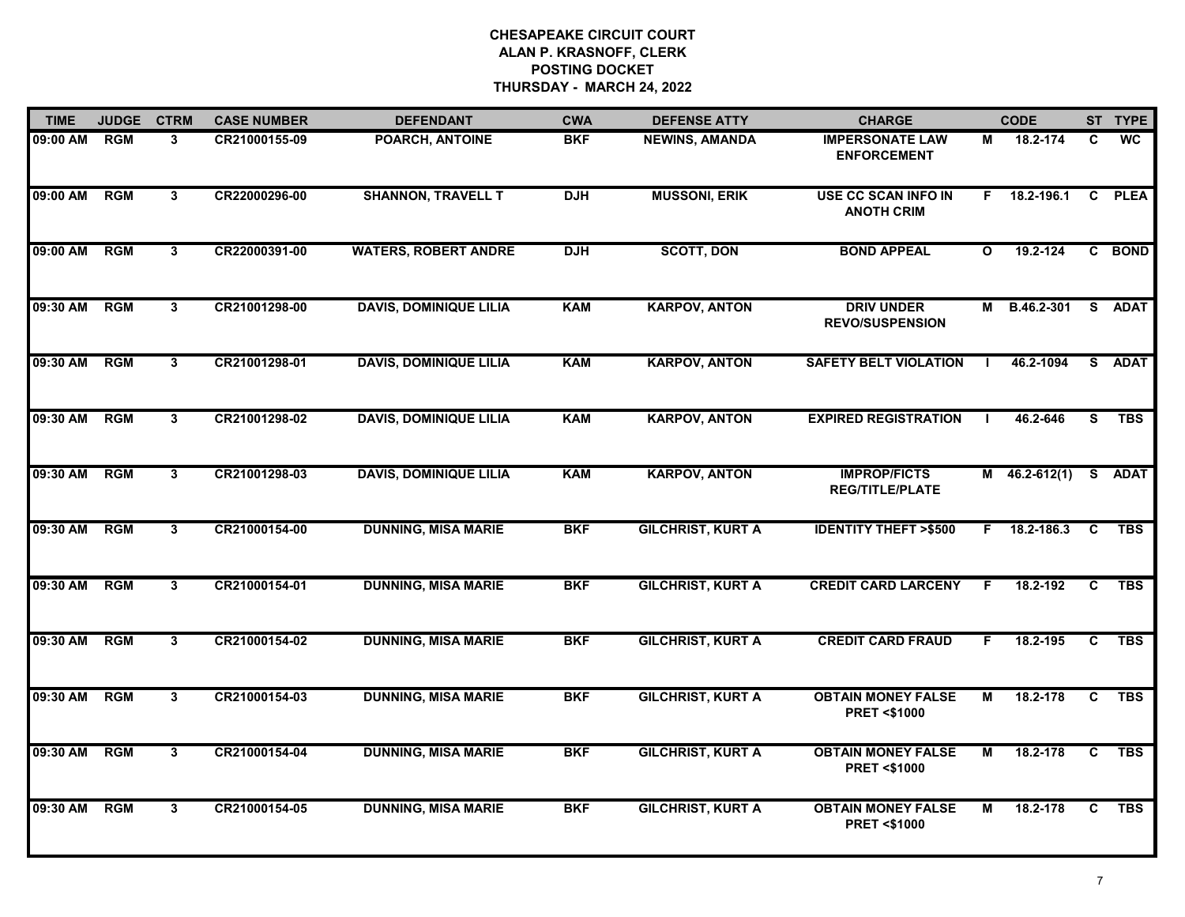| <b>TIME</b> | <b>JUDGE</b> | <b>CTRM</b>             | <b>CASE NUMBER</b> | <b>DEFENDANT</b>              | <b>CWA</b> | <b>DEFENSE ATTY</b>      | <b>CHARGE</b>                                       |              | <b>CODE</b>     |              | ST TYPE     |
|-------------|--------------|-------------------------|--------------------|-------------------------------|------------|--------------------------|-----------------------------------------------------|--------------|-----------------|--------------|-------------|
| 09:00 AM    | <b>RGM</b>   | $\mathbf{3}$            | CR21000155-09      | POARCH, ANTOINE               | <b>BKF</b> | <b>NEWINS, AMANDA</b>    | <b>IMPERSONATE LAW</b><br><b>ENFORCEMENT</b>        | М            | 18.2-174        | C.           | <b>WC</b>   |
| 09:00 AM    | RGM          | $\overline{\mathbf{3}}$ | CR22000296-00      | <b>SHANNON, TRAVELL T</b>     | <b>DJH</b> | <b>MUSSONI, ERIK</b>     | <b>USE CC SCAN INFO IN</b><br><b>ANOTH CRIM</b>     | F.           | 18.2-196.1      | $\mathbf{C}$ | <b>PLEA</b> |
| 09:00 AM    | <b>RGM</b>   | 3 <sup>1</sup>          | CR22000391-00      | <b>WATERS, ROBERT ANDRE</b>   | <b>DJH</b> | <b>SCOTT, DON</b>        | <b>BOND APPEAL</b>                                  | $\mathbf{o}$ | $19.2 - 124$    |              | C BOND      |
| 09:30 AM    | <b>RGM</b>   | 3                       | CR21001298-00      | <b>DAVIS, DOMINIQUE LILIA</b> | <b>KAM</b> | <b>KARPOV, ANTON</b>     | <b>DRIV UNDER</b><br><b>REVO/SUSPENSION</b>         | М            | B.46.2-301      |              | S ADAT      |
| 09:30 AM    | <b>RGM</b>   | 3                       | CR21001298-01      | <b>DAVIS, DOMINIQUE LILIA</b> | <b>KAM</b> | <b>KARPOV, ANTON</b>     | <b>SAFETY BELT VIOLATION</b>                        |              | 46.2-1094       | S.           | <b>ADAT</b> |
| 09:30 AM    | <b>RGM</b>   | 3                       | CR21001298-02      | <b>DAVIS, DOMINIQUE LILIA</b> | <b>KAM</b> | <b>KARPOV, ANTON</b>     | <b>EXPIRED REGISTRATION</b>                         |              | 46.2-646        | S.           | <b>TBS</b>  |
| 09:30 AM    | <b>RGM</b>   | $3^{\circ}$             | CR21001298-03      | <b>DAVIS, DOMINIQUE LILIA</b> | <b>KAM</b> | <b>KARPOV, ANTON</b>     | <b>IMPROP/FICTS</b><br><b>REG/TITLE/PLATE</b>       |              | $M$ 46.2-612(1) | S.           | <b>ADAT</b> |
| 09:30 AM    | RGM          | $\overline{3}$          | CR21000154-00      | <b>DUNNING, MISA MARIE</b>    | <b>BKF</b> | <b>GILCHRIST, KURT A</b> | <b>IDENTITY THEFT &gt;\$500</b>                     | F.           | 18.2-186.3      | C            | <b>TBS</b>  |
| 09:30 AM    | <b>RGM</b>   | $\mathbf{3}$            | CR21000154-01      | <b>DUNNING, MISA MARIE</b>    | <b>BKF</b> | <b>GILCHRIST, KURT A</b> | <b>CREDIT CARD LARCENY</b>                          | F            | 18.2-192        | C            | <b>TBS</b>  |
| 09:30 AM    | <b>RGM</b>   | 3                       | CR21000154-02      | <b>DUNNING, MISA MARIE</b>    | <b>BKF</b> | <b>GILCHRIST, KURT A</b> | <b>CREDIT CARD FRAUD</b>                            | F.           | 18.2-195        | C            | <b>TBS</b>  |
| 09:30 AM    | <b>RGM</b>   | $\mathbf{3}$            | CR21000154-03      | <b>DUNNING, MISA MARIE</b>    | <b>BKF</b> | <b>GILCHRIST, KURT A</b> | <b>OBTAIN MONEY FALSE</b><br><b>PRET &lt;\$1000</b> | М            | 18.2-178        | C.           | <b>TBS</b>  |
| 09:30 AM    | <b>RGM</b>   | 3                       | CR21000154-04      | <b>DUNNING, MISA MARIE</b>    | <b>BKF</b> | <b>GILCHRIST, KURT A</b> | <b>OBTAIN MONEY FALSE</b><br><b>PRET &lt;\$1000</b> | М            | 18.2-178        | C            | <b>TBS</b>  |
| 09:30 AM    | <b>RGM</b>   | $\mathbf{3}$            | CR21000154-05      | <b>DUNNING, MISA MARIE</b>    | <b>BKF</b> | <b>GILCHRIST, KURT A</b> | <b>OBTAIN MONEY FALSE</b><br><b>PRET &lt;\$1000</b> | М            | 18.2-178        | $\mathbf{c}$ | <b>TBS</b>  |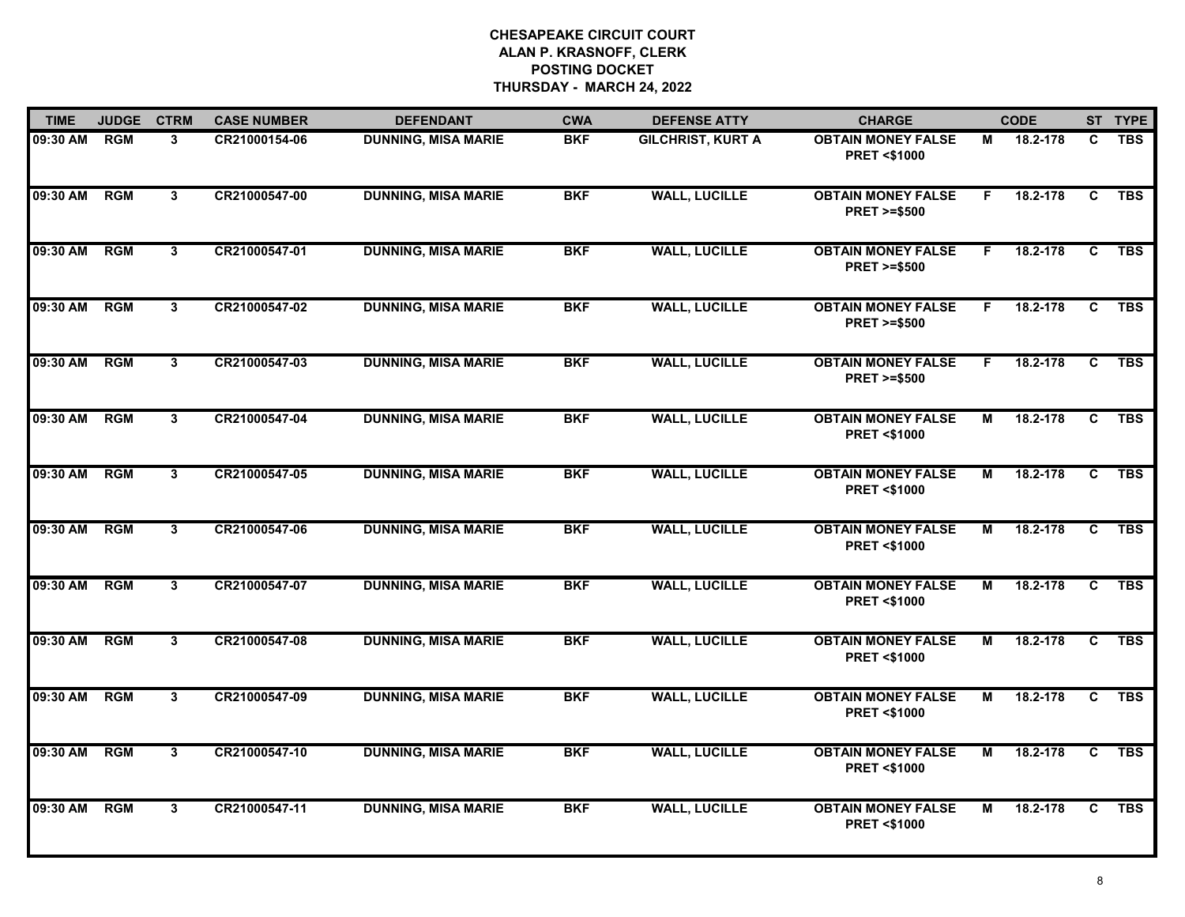| <b>TIME</b> | <b>JUDGE</b> | <b>CTRM</b>    | <b>CASE NUMBER</b> | <b>DEFENDANT</b>           | <b>CWA</b> | <b>DEFENSE ATTY</b>      | <b>CHARGE</b>                                       |    | <b>CODE</b> |                | ST TYPE    |
|-------------|--------------|----------------|--------------------|----------------------------|------------|--------------------------|-----------------------------------------------------|----|-------------|----------------|------------|
| 09:30 AM    | <b>RGM</b>   | 3              | CR21000154-06      | <b>DUNNING, MISA MARIE</b> | <b>BKF</b> | <b>GILCHRIST, KURT A</b> | <b>OBTAIN MONEY FALSE</b><br><b>PRET &lt;\$1000</b> | М  | 18.2-178    | C              | <b>TBS</b> |
| 09:30 AM    | RGM          | $\overline{3}$ | CR21000547-00      | <b>DUNNING, MISA MARIE</b> | <b>BKF</b> | <b>WALL, LUCILLE</b>     | <b>OBTAIN MONEY FALSE</b><br><b>PRET &gt;=\$500</b> | F. | 18.2-178    | $\overline{c}$ | <b>TBS</b> |
| 09:30 AM    | <b>RGM</b>   | 3 <sup>1</sup> | CR21000547-01      | <b>DUNNING, MISA MARIE</b> | <b>BKF</b> | <b>WALL, LUCILLE</b>     | <b>OBTAIN MONEY FALSE</b><br><b>PRET &gt;=\$500</b> | F. | 18.2-178    | $\mathbf{C}$   | <b>TBS</b> |
| 09:30 AM    | <b>RGM</b>   | 3              | CR21000547-02      | <b>DUNNING, MISA MARIE</b> | <b>BKF</b> | <b>WALL, LUCILLE</b>     | <b>OBTAIN MONEY FALSE</b><br><b>PRET &gt;=\$500</b> | F. | 18.2-178    | C              | <b>TBS</b> |
| 09:30 AM    | <b>RGM</b>   | 3              | CR21000547-03      | <b>DUNNING, MISA MARIE</b> | <b>BKF</b> | <b>WALL, LUCILLE</b>     | <b>OBTAIN MONEY FALSE</b><br><b>PRET &gt;=\$500</b> | F. | 18.2-178    | C              | <b>TBS</b> |
| 09:30 AM    | <b>RGM</b>   | 3              | CR21000547-04      | <b>DUNNING, MISA MARIE</b> | <b>BKF</b> | <b>WALL, LUCILLE</b>     | <b>OBTAIN MONEY FALSE</b><br><b>PRET &lt;\$1000</b> | М  | 18.2-178    | C              | <b>TBS</b> |
| 09:30 AM    | <b>RGM</b>   | $\mathbf{3}$   | CR21000547-05      | <b>DUNNING, MISA MARIE</b> | <b>BKF</b> | <b>WALL, LUCILLE</b>     | <b>OBTAIN MONEY FALSE</b><br><b>PRET &lt;\$1000</b> | М  | 18.2-178    | C              | <b>TBS</b> |
| 09:30 AM    | <b>RGM</b>   | $3^{\circ}$    | CR21000547-06      | <b>DUNNING, MISA MARIE</b> | <b>BKF</b> | <b>WALL, LUCILLE</b>     | <b>OBTAIN MONEY FALSE</b><br><b>PRET &lt;\$1000</b> | М  | 18.2-178    | C              | <b>TBS</b> |
| 09:30 AM    | <b>RGM</b>   | 3              | CR21000547-07      | <b>DUNNING, MISA MARIE</b> | <b>BKF</b> | <b>WALL, LUCILLE</b>     | <b>OBTAIN MONEY FALSE</b><br><b>PRET &lt;\$1000</b> | М  | 18.2-178    | C              | <b>TBS</b> |
| 09:30 AM    | RGM          | 3              | CR21000547-08      | <b>DUNNING, MISA MARIE</b> | <b>BKF</b> | <b>WALL, LUCILLE</b>     | <b>OBTAIN MONEY FALSE</b><br><b>PRET &lt;\$1000</b> | М  | 18.2-178    | C              | <b>TBS</b> |
| 09:30 AM    | <b>RGM</b>   | 3              | CR21000547-09      | <b>DUNNING, MISA MARIE</b> | <b>BKF</b> | <b>WALL, LUCILLE</b>     | <b>OBTAIN MONEY FALSE</b><br><b>PRET &lt;\$1000</b> | М  | 18.2-178    | C              | <b>TBS</b> |
| 09:30 AM    | RGM          | 3              | CR21000547-10      | <b>DUNNING, MISA MARIE</b> | <b>BKF</b> | <b>WALL, LUCILLE</b>     | <b>OBTAIN MONEY FALSE</b><br><b>PRET &lt;\$1000</b> | М  | 18.2-178    | C              | <b>TBS</b> |
| 09:30 AM    | <b>RGM</b>   | $\mathbf{3}$   | CR21000547-11      | <b>DUNNING, MISA MARIE</b> | <b>BKF</b> | <b>WALL, LUCILLE</b>     | <b>OBTAIN MONEY FALSE</b><br><b>PRET &lt;\$1000</b> | М  | 18.2-178    | C              | <b>TBS</b> |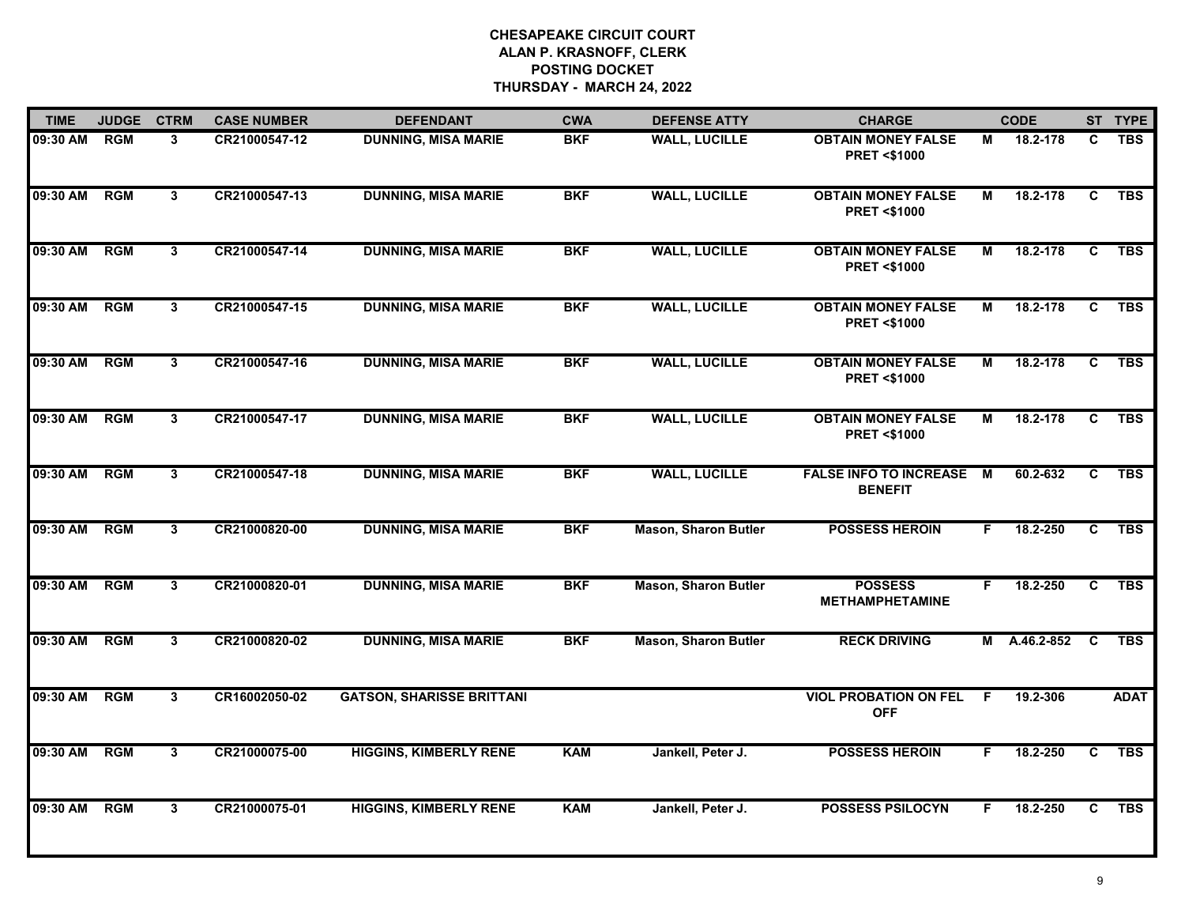| <b>TIME</b> | <b>JUDGE</b> | <b>CTRM</b>    | <b>CASE NUMBER</b> | <b>DEFENDANT</b>                 | <b>CWA</b> | <b>DEFENSE ATTY</b>         | <b>CHARGE</b>                                       |    | <b>CODE</b> |   | ST TYPE     |
|-------------|--------------|----------------|--------------------|----------------------------------|------------|-----------------------------|-----------------------------------------------------|----|-------------|---|-------------|
| 09:30 AM    | <b>RGM</b>   | 3              | CR21000547-12      | <b>DUNNING, MISA MARIE</b>       | <b>BKF</b> | <b>WALL, LUCILLE</b>        | <b>OBTAIN MONEY FALSE</b><br><b>PRET &lt;\$1000</b> | М  | 18.2-178    | C | <b>TBS</b>  |
| 09:30 AM    | <b>RGM</b>   | $\mathbf{3}$   | CR21000547-13      | <b>DUNNING, MISA MARIE</b>       | <b>BKF</b> | <b>WALL, LUCILLE</b>        | <b>OBTAIN MONEY FALSE</b><br><b>PRET &lt;\$1000</b> | М  | 18.2-178    | C | <b>TBS</b>  |
| 09:30 AM    | <b>RGM</b>   | 3              | CR21000547-14      | <b>DUNNING, MISA MARIE</b>       | <b>BKF</b> | <b>WALL, LUCILLE</b>        | <b>OBTAIN MONEY FALSE</b><br><b>PRET &lt;\$1000</b> | М  | 18.2-178    | C | <b>TBS</b>  |
| 09:30 AM    | <b>RGM</b>   | 3              | CR21000547-15      | <b>DUNNING, MISA MARIE</b>       | <b>BKF</b> | <b>WALL, LUCILLE</b>        | <b>OBTAIN MONEY FALSE</b><br><b>PRET &lt;\$1000</b> | М  | 18.2-178    | C | <b>TBS</b>  |
| 09:30 AM    | <b>RGM</b>   | 3              | CR21000547-16      | <b>DUNNING, MISA MARIE</b>       | <b>BKF</b> | <b>WALL, LUCILLE</b>        | <b>OBTAIN MONEY FALSE</b><br><b>PRET &lt;\$1000</b> | М  | 18.2-178    | C | <b>TBS</b>  |
| 09:30 AM    | <b>RGM</b>   | 3              | CR21000547-17      | <b>DUNNING, MISA MARIE</b>       | <b>BKF</b> | <b>WALL, LUCILLE</b>        | <b>OBTAIN MONEY FALSE</b><br><b>PRET &lt;\$1000</b> | М  | 18.2-178    | C | <b>TBS</b>  |
| 09:30 AM    | RGM          | $\mathbf{3}$   | CR21000547-18      | <b>DUNNING, MISA MARIE</b>       | <b>BKF</b> | <b>WALL, LUCILLE</b>        | <b>FALSE INFO TO INCREASE</b><br><b>BENEFIT</b>     | M  | 60.2-632    | C | <b>TBS</b>  |
| 09:30 AM    | <b>RGM</b>   | $3\phantom{a}$ | CR21000820-00      | <b>DUNNING, MISA MARIE</b>       | <b>BKF</b> | <b>Mason, Sharon Butler</b> | <b>POSSESS HEROIN</b>                               | F. | 18.2-250    | C | <b>TBS</b>  |
| 09:30 AM    | <b>RGM</b>   | 3              | CR21000820-01      | <b>DUNNING, MISA MARIE</b>       | <b>BKF</b> | <b>Mason, Sharon Butler</b> | <b>POSSESS</b><br><b>METHAMPHETAMINE</b>            | F. | 18.2-250    | C | <b>TBS</b>  |
| 09:30 AM    | RGM          | 3              | CR21000820-02      | <b>DUNNING, MISA MARIE</b>       | <b>BKF</b> | <b>Mason, Sharon Butler</b> | <b>RECK DRIVING</b>                                 | М  | A.46.2-852  | C | <b>TBS</b>  |
| 09:30 AM    | <b>RGM</b>   | 3              | CR16002050-02      | <b>GATSON, SHARISSE BRITTANI</b> |            |                             | <b>VIOL PROBATION ON FEL</b><br><b>OFF</b>          | F. | 19.2-306    |   | <b>ADAT</b> |
| 09:30 AM    | <b>RGM</b>   | 3              | CR21000075-00      | <b>HIGGINS, KIMBERLY RENE</b>    | <b>KAM</b> | Jankell, Peter J.           | <b>POSSESS HEROIN</b>                               | F. | 18.2-250    | C | <b>TBS</b>  |
| 09:30 AM    | <b>RGM</b>   | $\mathbf{3}$   | CR21000075-01      | <b>HIGGINS, KIMBERLY RENE</b>    | <b>KAM</b> | Jankell, Peter J.           | <b>POSSESS PSILOCYN</b>                             | F  | 18.2-250    | C | <b>TBS</b>  |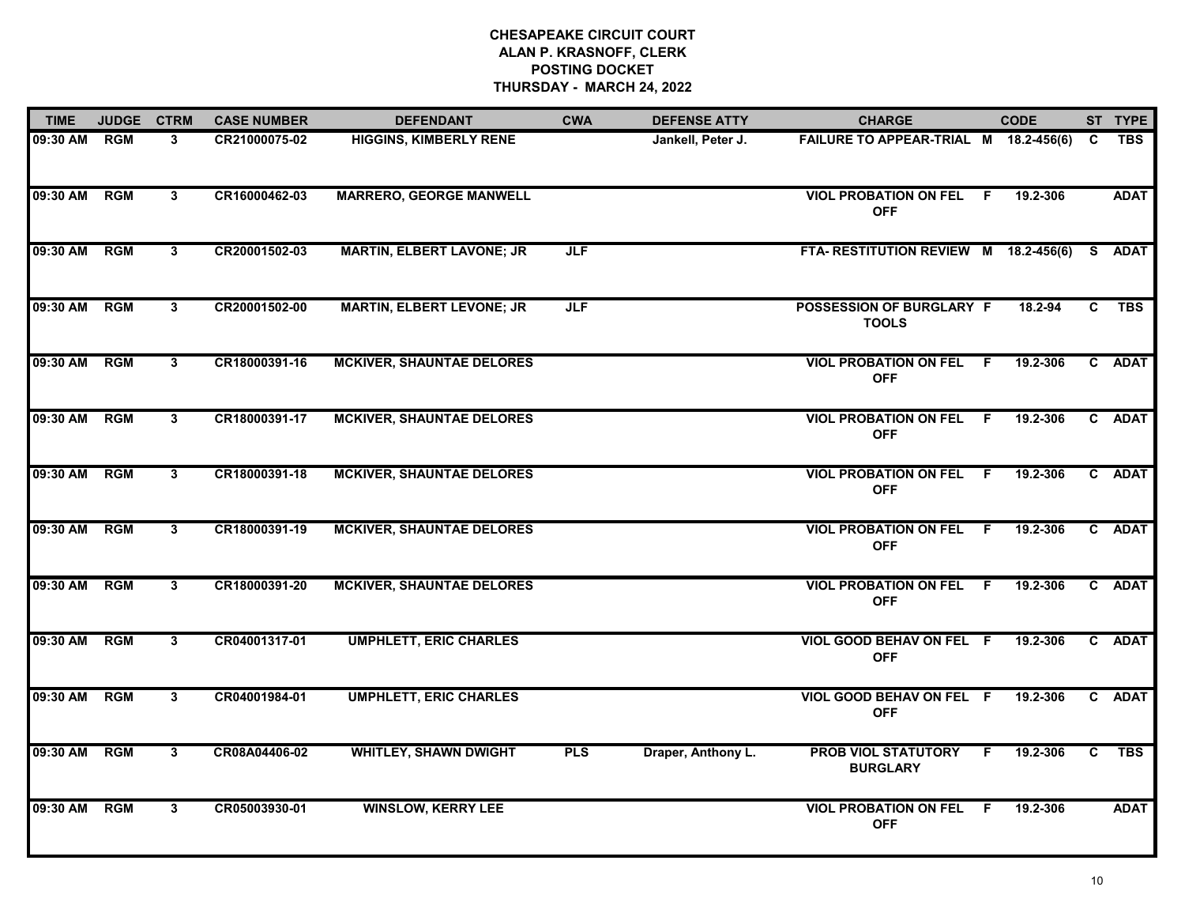| <b>TIME</b> | <b>JUDGE</b> | <b>CTRM</b>    | <b>CASE NUMBER</b> | <b>DEFENDANT</b>                 | <b>CWA</b> | <b>DEFENSE ATTY</b> | <b>CHARGE</b>                                   | <b>CODE</b>     |    | ST TYPE     |
|-------------|--------------|----------------|--------------------|----------------------------------|------------|---------------------|-------------------------------------------------|-----------------|----|-------------|
| 09:30 AM    | <b>RGM</b>   | 3              | CR21000075-02      | <b>HIGGINS, KIMBERLY RENE</b>    |            | Jankell, Peter J.   | FAILURE TO APPEAR-TRIAL M 18.2-456(6)           |                 | C  | TBS         |
| 09:30 AM    | <b>RGM</b>   | 3              | CR16000462-03      | <b>MARRERO, GEORGE MANWELL</b>   |            |                     | <b>VIOL PROBATION ON FEL</b><br><b>OFF</b>      | F.<br>19.2-306  |    | <b>ADAT</b> |
| 09:30 AM    | <b>RGM</b>   | $\mathbf{3}$   | CR20001502-03      | <b>MARTIN, ELBERT LAVONE; JR</b> | <b>JLF</b> |                     | FTA-RESTITUTION REVIEW M 18.2-456(6)            |                 |    | S ADAT      |
| 09:30 AM    | <b>RGM</b>   | $\mathbf{3}$   | CR20001502-00      | <b>MARTIN, ELBERT LEVONE; JR</b> | <b>JLF</b> |                     | <b>POSSESSION OF BURGLARY F</b><br><b>TOOLS</b> | 18.2-94         | C. | <b>TBS</b>  |
| 09:30 AM    | <b>RGM</b>   | 3              | CR18000391-16      | <b>MCKIVER, SHAUNTAE DELORES</b> |            |                     | <b>VIOL PROBATION ON FEL</b><br><b>OFF</b>      | 19.2-306<br>F.  |    | C ADAT      |
| 09:30 AM    | <b>RGM</b>   | 3              | CR18000391-17      | <b>MCKIVER, SHAUNTAE DELORES</b> |            |                     | <b>VIOL PROBATION ON FEL</b><br><b>OFF</b>      | 19.2-306<br>- F |    | C ADAT      |
| 09:30 AM    | <b>RGM</b>   | 3              | CR18000391-18      | <b>MCKIVER, SHAUNTAE DELORES</b> |            |                     | <b>VIOL PROBATION ON FEL</b><br><b>OFF</b>      | - F<br>19.2-306 |    | C ADAT      |
| 09:30 AM    | <b>RGM</b>   | 3              | CR18000391-19      | <b>MCKIVER, SHAUNTAE DELORES</b> |            |                     | <b>VIOL PROBATION ON FEL</b><br><b>OFF</b>      | 19.2-306<br>F.  |    | C ADAT      |
| 09:30 AM    | <b>RGM</b>   | 3              | CR18000391-20      | <b>MCKIVER, SHAUNTAE DELORES</b> |            |                     | <b>VIOL PROBATION ON FEL</b><br><b>OFF</b>      | 19.2-306<br>F.  |    | C ADAT      |
| 09:30 AM    | <b>RGM</b>   | 3              | CR04001317-01      | <b>UMPHLETT, ERIC CHARLES</b>    |            |                     | VIOL GOOD BEHAV ON FEL F<br><b>OFF</b>          | 19.2-306        |    | C ADAT      |
| 09:30 AM    | <b>RGM</b>   | $\mathbf{3}$   | CR04001984-01      | <b>UMPHLETT, ERIC CHARLES</b>    |            |                     | VIOL GOOD BEHAV ON FEL F<br><b>OFF</b>          | 19.2-306        |    | C ADAT      |
| 09:30 AM    | <b>RGM</b>   | $\overline{3}$ | CR08A04406-02      | <b>WHITLEY, SHAWN DWIGHT</b>     | <b>PLS</b> | Draper, Anthony L.  | <b>PROB VIOL STATUTORY</b><br><b>BURGLARY</b>   | 19.2-306<br>F.  | C. | <b>TBS</b>  |
| 09:30 AM    | <b>RGM</b>   | 3              | CR05003930-01      | <b>WINSLOW, KERRY LEE</b>        |            |                     | <b>VIOL PROBATION ON FEL</b><br><b>OFF</b>      | F.<br>19.2-306  |    | <b>ADAT</b> |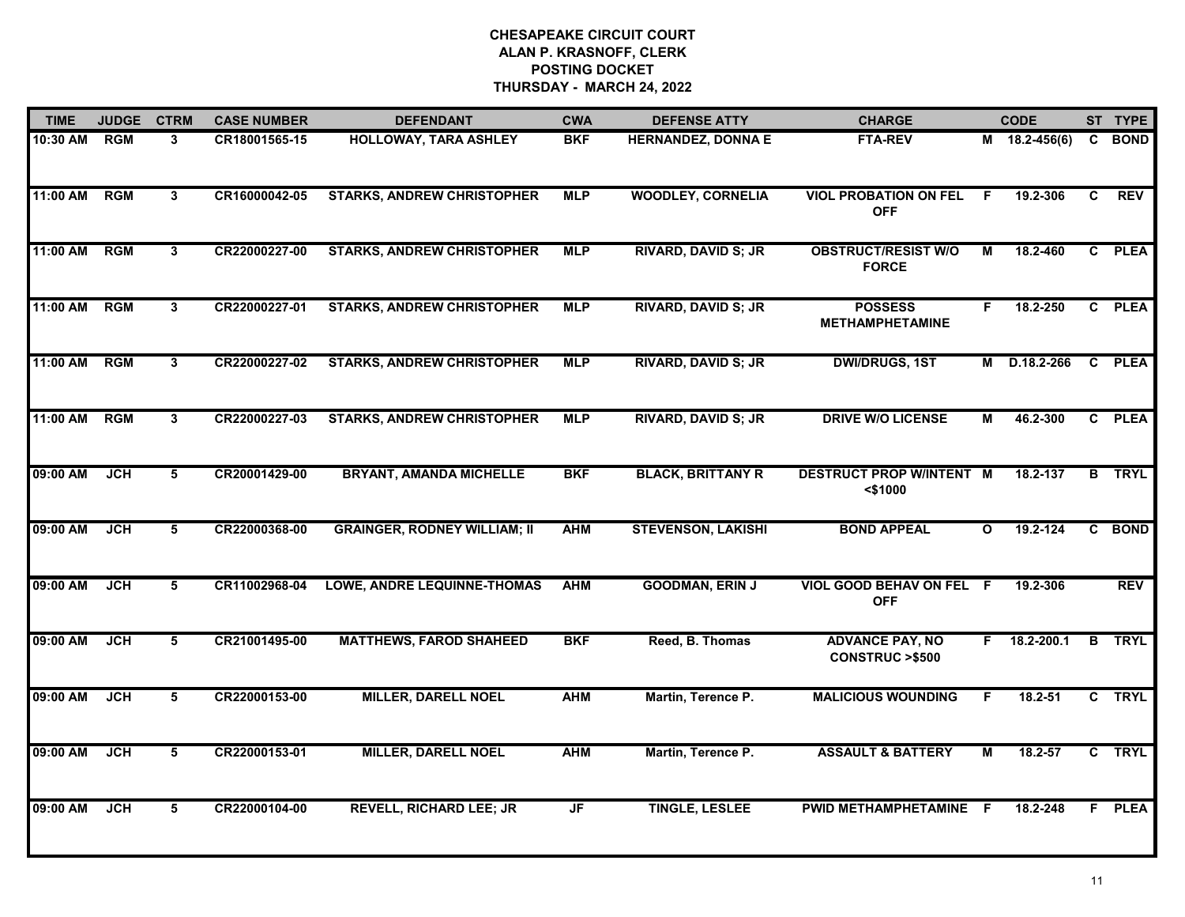| <b>TIME</b> | <b>JUDGE</b> | <b>CTRM</b>  | <b>CASE NUMBER</b> | <b>DEFENDANT</b>                    | <b>CWA</b> | <b>DEFENSE ATTY</b>        | <b>CHARGE</b>                                       |              | <b>CODE</b>   |              | ST TYPE     |
|-------------|--------------|--------------|--------------------|-------------------------------------|------------|----------------------------|-----------------------------------------------------|--------------|---------------|--------------|-------------|
| 10:30 AM    | <b>RGM</b>   | 3            | CR18001565-15      | HOLLOWAY, TARA ASHLEY               | <b>BKF</b> | <b>HERNANDEZ, DONNA E</b>  | <b>FTA-REV</b>                                      |              | M 18.2-456(6) | C.           | <b>BOND</b> |
| 11:00 AM    | <b>RGM</b>   | $\mathbf{3}$ | CR16000042-05      | <b>STARKS, ANDREW CHRISTOPHER</b>   | <b>MLP</b> | <b>WOODLEY, CORNELIA</b>   | <b>VIOL PROBATION ON FEL</b><br><b>OFF</b>          | -F           | 19.2-306      | C            | <b>REV</b>  |
| 11:00 AM    | <b>RGM</b>   | 3            | CR22000227-00      | <b>STARKS, ANDREW CHRISTOPHER</b>   | <b>MLP</b> | <b>RIVARD, DAVID S; JR</b> | <b>OBSTRUCT/RESIST W/O</b><br><b>FORCE</b>          | М            | 18.2-460      |              | C PLEA      |
| 11:00 AM    | <b>RGM</b>   | 3            | CR22000227-01      | <b>STARKS, ANDREW CHRISTOPHER</b>   | <b>MLP</b> | <b>RIVARD, DAVID S; JR</b> | <b>POSSESS</b><br><b>METHAMPHETAMINE</b>            | F.           | 18.2-250      |              | C PLEA      |
| 11:00 AM    | RGM          | 3            | CR22000227-02      | <b>STARKS, ANDREW CHRISTOPHER</b>   | <b>MLP</b> | <b>RIVARD, DAVID S; JR</b> | <b>DWI/DRUGS, 1ST</b>                               | м            | D.18.2-266    |              | C PLEA      |
| 11:00 AM    | <b>RGM</b>   | 3            | CR22000227-03      | <b>STARKS, ANDREW CHRISTOPHER</b>   | <b>MLP</b> | <b>RIVARD, DAVID S; JR</b> | <b>DRIVE W/O LICENSE</b>                            | М            | 46.2-300      |              | C PLEA      |
| 09:00 AM    | JCH          | 5            | CR20001429-00      | <b>BRYANT, AMANDA MICHELLE</b>      | <b>BKF</b> | <b>BLACK, BRITTANY R</b>   | <b>DESTRUCT PROP W/INTENT M</b><br>$<$ \$1000       |              | 18.2-137      | B            | <b>TRYL</b> |
| 09:00 AM    | JCH          | 5            | CR22000368-00      | <b>GRAINGER, RODNEY WILLIAM; II</b> | <b>AHM</b> | <b>STEVENSON, LAKISHI</b>  | <b>BOND APPEAL</b>                                  | $\mathbf{o}$ | $19.2 - 124$  | $\mathbf{c}$ | <b>BOND</b> |
| 09:00 AM    | <b>JCH</b>   | 5            | CR11002968-04      | <b>LOWE, ANDRE LEQUINNE-THOMAS</b>  | <b>AHM</b> | <b>GOODMAN, ERIN J</b>     | VIOL GOOD BEHAV ON FEL F<br><b>OFF</b>              |              | 19.2-306      |              | <b>REV</b>  |
| 09:00 AM    | <b>JCH</b>   | 5            | CR21001495-00      | <b>MATTHEWS, FAROD SHAHEED</b>      | <b>BKF</b> | Reed, B. Thomas            | <b>ADVANCE PAY, NO</b><br><b>CONSTRUC &gt;\$500</b> | F.           | 18.2-200.1    | B            | <b>TRYL</b> |
| 09:00 AM    | <b>JCH</b>   | 5            | CR22000153-00      | <b>MILLER, DARELL NOEL</b>          | <b>AHM</b> | Martin, Terence P.         | <b>MALICIOUS WOUNDING</b>                           | F.           | $18.2 - 51$   |              | C TRYL      |
| 09:00 AM    | <b>JCH</b>   | 5            | CR22000153-01      | <b>MILLER, DARELL NOEL</b>          | <b>AHM</b> | Martin, Terence P.         | <b>ASSAULT &amp; BATTERY</b>                        | М            | 18.2-57       | $\mathbf{c}$ | <b>TRYL</b> |
| 09:00 AM    | <b>JCH</b>   | 5            | CR22000104-00      | <b>REVELL, RICHARD LEE; JR</b>      | JF         | <b>TINGLE, LESLEE</b>      | PWID METHAMPHETAMINE F                              |              | 18.2-248      |              | F PLEA      |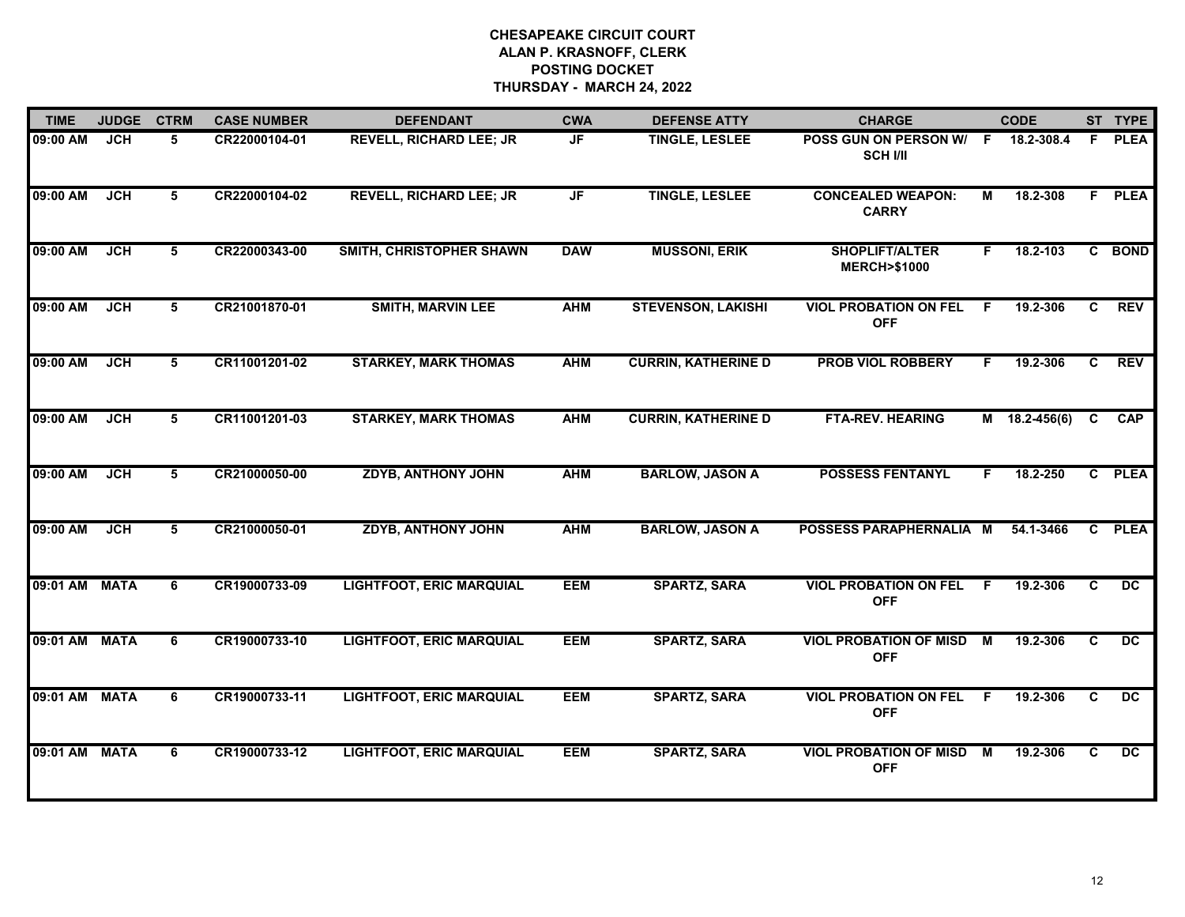| <b>TIME</b> | <b>JUDGE</b> | <b>CTRM</b> | <b>CASE NUMBER</b> | <b>DEFENDANT</b>                | <b>CWA</b> | <b>DEFENSE ATTY</b>        | <b>CHARGE</b>                                   |    | <b>CODE</b>     |    | ST TYPE         |
|-------------|--------------|-------------|--------------------|---------------------------------|------------|----------------------------|-------------------------------------------------|----|-----------------|----|-----------------|
| 09:00 AM    | <b>JCH</b>   | 5           | CR22000104-01      | <b>REVELL, RICHARD LEE; JR</b>  | <b>JF</b>  | <b>TINGLE, LESLEE</b>      | POSS GUN ON PERSON W/<br><b>SCH I/II</b>        | F. | 18.2-308.4      | F. | <b>PLEA</b>     |
| 09:00 AM    | <b>JCH</b>   | 5           | CR22000104-02      | <b>REVELL, RICHARD LEE; JR</b>  | JF         | <b>TINGLE, LESLEE</b>      | <b>CONCEALED WEAPON:</b><br><b>CARRY</b>        | М  | 18.2-308        |    | F PLEA          |
| 09:00 AM    | <b>JCH</b>   | 5           | CR22000343-00      | <b>SMITH, CHRISTOPHER SHAWN</b> | <b>DAW</b> | <b>MUSSONI, ERIK</b>       | <b>SHOPLIFT/ALTER</b><br><b>MERCH&gt;\$1000</b> | F. | 18.2-103        |    | C BOND          |
| 09:00 AM    | <b>JCH</b>   | 5           | CR21001870-01      | <b>SMITH, MARVIN LEE</b>        | <b>AHM</b> | <b>STEVENSON, LAKISHI</b>  | <b>VIOL PROBATION ON FEL</b><br><b>OFF</b>      | F. | 19.2-306        | C  | <b>REV</b>      |
| 09:00 AM    | <b>JCH</b>   | 5           | CR11001201-02      | <b>STARKEY, MARK THOMAS</b>     | <b>AHM</b> | <b>CURRIN, KATHERINE D</b> | <b>PROB VIOL ROBBERY</b>                        | F. | 19.2-306        | C. | <b>REV</b>      |
| 09:00 AM    | JCH          | 5           | CR11001201-03      | <b>STARKEY, MARK THOMAS</b>     | <b>AHM</b> | <b>CURRIN, KATHERINE D</b> | <b>FTA-REV. HEARING</b>                         |    | $M$ 18.2-456(6) | C. | CAP             |
| 09:00 AM    | <b>JCH</b>   | 5           | CR21000050-00      | <b>ZDYB, ANTHONY JOHN</b>       | <b>AHM</b> | <b>BARLOW, JASON A</b>     | <b>POSSESS FENTANYL</b>                         | F. | 18.2-250        |    | C PLEA          |
| 09:00 AM    | <b>JCH</b>   | 5           | CR21000050-01      | <b>ZDYB, ANTHONY JOHN</b>       | <b>AHM</b> | <b>BARLOW, JASON A</b>     | POSSESS PARAPHERNALIA M                         |    | 54.1-3466       | C. | <b>PLEA</b>     |
| 09:01 AM    | <b>MATA</b>  | 6           | CR19000733-09      | <b>LIGHTFOOT, ERIC MARQUIAL</b> | <b>EEM</b> | <b>SPARTZ, SARA</b>        | <b>VIOL PROBATION ON FEL</b><br><b>OFF</b>      | F. | 19.2-306        | C. | $\overline{DC}$ |
| 09:01 AM    | <b>MATA</b>  | 6           | CR19000733-10      | <b>LIGHTFOOT, ERIC MARQUIAL</b> | <b>EEM</b> | <b>SPARTZ, SARA</b>        | <b>VIOL PROBATION OF MISD</b><br><b>OFF</b>     | М  | 19.2-306        | C. | $\overline{DC}$ |
| 09:01 AM    | <b>MATA</b>  | 6           | CR19000733-11      | <b>LIGHTFOOT, ERIC MARQUIAL</b> | <b>EEM</b> | <b>SPARTZ, SARA</b>        | <b>VIOL PROBATION ON FEL</b><br><b>OFF</b>      | F. | 19.2-306        | C. | DC              |
| 09:01 AM    | <b>MATA</b>  | 6           | CR19000733-12      | <b>LIGHTFOOT, ERIC MARQUIAL</b> | <b>EEM</b> | <b>SPARTZ, SARA</b>        | <b>VIOL PROBATION OF MISD</b><br><b>OFF</b>     | M  | 19.2-306        | C  | $\overline{DC}$ |